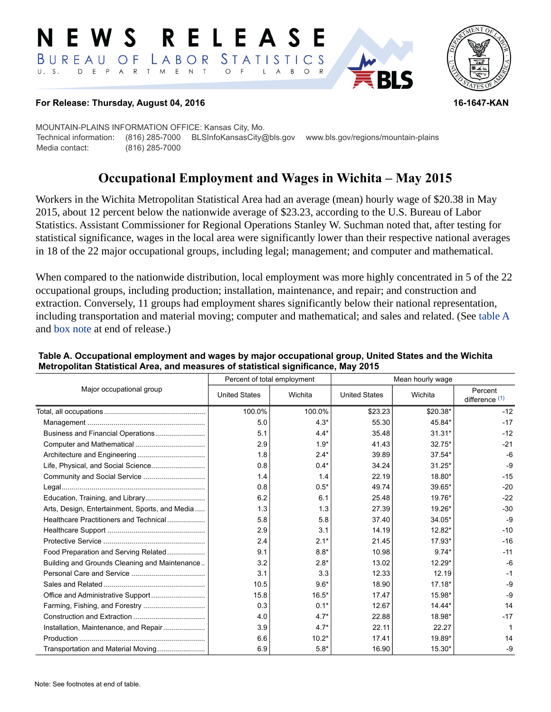#### RELEAS EWS BUREAU STATISTICS O F LABOR D E P A R T M E N T  $U. S.$  $\circ$  $\overline{F}$  $\mathsf{L}$  $\overline{A}$  $B$  $\circ$



#### **For Release: Thursday, August 04, 2016 16-1647-KAN**

MOUNTAIN-PLAINS INFORMATION OFFICE: Kansas City, Mo. Technical information: (816) 285-7000 BLSInfoKansasCity@bls.gov www.bls.gov/regions/mountain-plains Media contact: (816) 285-7000

# **Occupational Employment and Wages in Wichita – May 2015**

Workers in the Wichita Metropolitan Statistical Area had an average (mean) hourly wage of \$20.38 in May 2015, about 12 percent below the nationwide average of \$23.23, according to the U.S. Bureau of Labor Statistics. Assistant Commissioner for Regional Operations Stanley W. Suchman noted that, after testing for statistical significance, wages in the local area were significantly lower than their respective national averages in 18 of the 22 major occupational groups, including legal; management; and computer and mathematical.

When compared to the nationwide distribution, local employment was more highly concentrated in 5 of the 22 occupational groups, including production; installation, maintenance, and repair; and construction and extraction. Conversely, 11 groups had employment shares significantly below their national representation, including transportation and material moving; computer and mathematical; and sales and related. (See table A and [box note](#page-1-0) at end of release.)

| Major occupational group                       |                      | Percent of total employment | Mean hourly wage     |          |                             |
|------------------------------------------------|----------------------|-----------------------------|----------------------|----------|-----------------------------|
|                                                | <b>United States</b> | Wichita                     | <b>United States</b> | Wichita  | Percent<br>difference $(1)$ |
|                                                | 100.0%               | 100.0%                      | \$23.23              | \$20.38* | $-12$                       |
|                                                | 5.0                  | $4.3*$                      | 55.30                | 45.84*   | $-17$                       |
|                                                | 5.1                  | $4.4*$                      | 35.48                | $31.31*$ | $-12$                       |
|                                                | 2.9                  | $1.9*$                      | 41.43                | $32.75*$ | $-21$                       |
|                                                | 1.8                  | $2.4*$                      | 39.89                | $37.54*$ | $-6$                        |
|                                                | 0.8                  | $0.4*$                      | 34.24                | $31.25*$ | $-9$                        |
|                                                | 1.4                  | 1.4                         | 22.19                | 18.80*   | $-15$                       |
|                                                | 0.8                  | $0.5*$                      | 49.74                | 39.65*   | $-20$                       |
|                                                | 6.2                  | 6.1                         | 25.48                | 19.76*   | $-22$                       |
| Arts, Design, Entertainment, Sports, and Media | 1.3                  | 1.3                         | 27.39                | 19.26*   | $-30$                       |
| Healthcare Practitioners and Technical         | 5.8                  | 5.8                         | 37.40                | 34.05*   | $-9$                        |
|                                                | 2.9                  | 3.1                         | 14.19                | $12.82*$ | $-10$                       |
|                                                | 2.4                  | $2.1*$                      | 21.45                | $17.93*$ | $-16$                       |
| Food Preparation and Serving Related           | 9.1                  | $8.8*$                      | 10.98                | $9.74*$  | $-11$                       |
| Building and Grounds Cleaning and Maintenance  | 3.2                  | $2.8*$                      | 13.02                | $12.29*$ | $-6$                        |
|                                                | 3.1                  | 3.3                         | 12.33                | 12.19    | $-1$                        |
|                                                | 10.5                 | $9.6*$                      | 18.90                | $17.18*$ | $-9$                        |
|                                                | 15.8                 | $16.5*$                     | 17.47                | 15.98*   | $-9$                        |
|                                                | 0.3                  | $0.1*$                      | 12.67                | 14.44*   | 14                          |
|                                                | 4.0                  | $4.7*$                      | 22.88                | 18.98*   | $-17$                       |
|                                                | 3.9                  | $4.7*$                      | 22.11                | 22.27    |                             |
|                                                | 6.6                  | $10.2*$                     | 17.41                | 19.89*   | 14                          |
| Transportation and Material Moving             | 6.9                  | $5.8*$                      | 16.90                | $15.30*$ | -9                          |

## **Table A. Occupational employment and wages by major occupational group, United States and the Wichita Metropolitan Statistical Area, and measures of statistical significance, May 2015**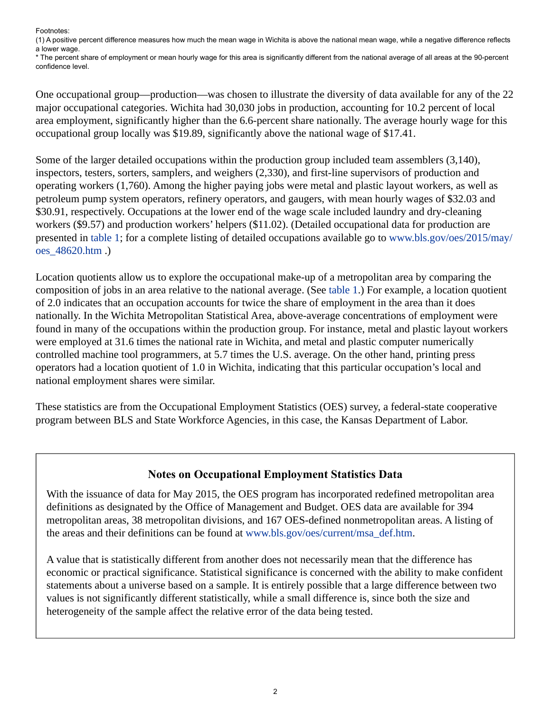Footnotes:

<span id="page-1-1"></span>(1) A positive percent difference measures how much the mean wage in Wichita is above the national mean wage, while a negative difference reflects a lower wage.

\* The percent share of employment or mean hourly wage for this area is significantly different from the national average of all areas at the 90-percent confidence level.

One occupational group—production—was chosen to illustrate the diversity of data available for any of the 22 major occupational categories. Wichita had 30,030 jobs in production, accounting for 10.2 percent of local area employment, significantly higher than the 6.6-percent share nationally. The average hourly wage for this occupational group locally was \$19.89, significantly above the national wage of \$17.41.

Some of the larger detailed occupations within the production group included team assemblers (3,140), inspectors, testers, sorters, samplers, and weighers (2,330), and first-line supervisors of production and operating workers (1,760). Among the higher paying jobs were metal and plastic layout workers, as well as petroleum pump system operators, refinery operators, and gaugers, with mean hourly wages of \$32.03 and \$30.91, respectively. Occupations at the lower end of the wage scale included laundry and dry-cleaning workers (\$9.57) and production workers' helpers (\$11.02). (Detailed occupational data for production are presented in table 1; for a complete listing of detailed occupations available go to [www.bls.gov/oes/2015/may/](https://www.bls.gov/oes/2015/may/oes_48620.htm) [oes\\_48620.htm](https://www.bls.gov/oes/2015/may/oes_48620.htm) .)

Location quotients allow us to explore the occupational make-up of a metropolitan area by comparing the composition of jobs in an area relative to the national average. (See table 1.) For example, a location quotient of 2.0 indicates that an occupation accounts for twice the share of employment in the area than it does nationally. In the Wichita Metropolitan Statistical Area, above-average concentrations of employment were found in many of the occupations within the production group. For instance, metal and plastic layout workers were employed at 31.6 times the national rate in Wichita, and metal and plastic computer numerically controlled machine tool programmers, at 5.7 times the U.S. average. On the other hand, printing press operators had a location quotient of 1.0 in Wichita, indicating that this particular occupation's local and national employment shares were similar.

These statistics are from the Occupational Employment Statistics (OES) survey, a federal-state cooperative program between BLS and State Workforce Agencies, in this case, the Kansas Department of Labor.

## **Notes on Occupational Employment Statistics Data**

<span id="page-1-0"></span>With the issuance of data for May 2015, the OES program has incorporated redefined metropolitan area definitions as designated by the Office of Management and Budget. OES data are available for 394 metropolitan areas, 38 metropolitan divisions, and 167 OES-defined nonmetropolitan areas. A listing of the areas and their definitions can be found at [www.bls.gov/oes/current/msa\\_def.htm](https://www.bls.gov/oes/current/msa_def.htm).

A value that is statistically different from another does not necessarily mean that the difference has economic or practical significance. Statistical significance is concerned with the ability to make confident statements about a universe based on a sample. It is entirely possible that a large difference between two values is not significantly different statistically, while a small difference is, since both the size and heterogeneity of the sample affect the relative error of the data being tested.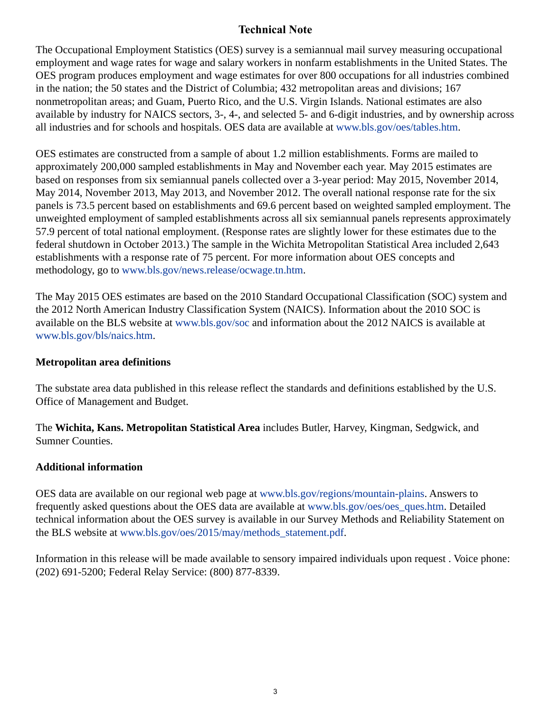## **Technical Note**

The Occupational Employment Statistics (OES) survey is a semiannual mail survey measuring occupational employment and wage rates for wage and salary workers in nonfarm establishments in the United States. The OES program produces employment and wage estimates for over 800 occupations for all industries combined in the nation; the 50 states and the District of Columbia; 432 metropolitan areas and divisions; 167 nonmetropolitan areas; and Guam, Puerto Rico, and the U.S. Virgin Islands. National estimates are also available by industry for NAICS sectors, 3-, 4-, and selected 5- and 6-digit industries, and by ownership across all industries and for schools and hospitals. OES data are available at [www.bls.gov/oes/tables.htm](https://www.bls.gov/oes/tables.htm).

OES estimates are constructed from a sample of about 1.2 million establishments. Forms are mailed to approximately 200,000 sampled establishments in May and November each year. May 2015 estimates are based on responses from six semiannual panels collected over a 3-year period: May 2015, November 2014, May 2014, November 2013, May 2013, and November 2012. The overall national response rate for the six panels is 73.5 percent based on establishments and 69.6 percent based on weighted sampled employment. The unweighted employment of sampled establishments across all six semiannual panels represents approximately 57.9 percent of total national employment. (Response rates are slightly lower for these estimates due to the federal shutdown in October 2013.) The sample in the Wichita Metropolitan Statistical Area included 2,643 establishments with a response rate of 75 percent. For more information about OES concepts and methodology, go to [www.bls.gov/news.release/ocwage.tn.htm.](https://www.bls.gov/news.release/ocwage.tn.htm)

The May 2015 OES estimates are based on the 2010 Standard Occupational Classification (SOC) system and the 2012 North American Industry Classification System (NAICS). Information about the 2010 SOC is available on the BLS website at [www.bls.gov/soc](https://www.bls.gov/soc) and information about the 2012 NAICS is available at [www.bls.gov/bls/naics.htm.](https://www.bls.gov/bls/naics.htm)

## **Metropolitan area definitions**

The substate area data published in this release reflect the standards and definitions established by the U.S. Office of Management and Budget.

The **Wichita, Kans. Metropolitan Statistical Area** includes Butler, Harvey, Kingman, Sedgwick, and Sumner Counties.

## **Additional information**

OES data are available on our regional web page at [www.bls.gov/regions/mountain-plains.](https://www.bls.gov/regions/mountain-plains) Answers to frequently asked questions about the OES data are available at [www.bls.gov/oes/oes\\_ques.htm](https://www.bls.gov/oes/oes_ques.htm). Detailed technical information about the OES survey is available in our Survey Methods and Reliability Statement on the BLS website at [www.bls.gov/oes/2015/may/methods\\_statement.pdf](https://www.bls.gov/oes/2015/may/methods_statement.pdf).

Information in this release will be made available to sensory impaired individuals upon request . Voice phone: (202) 691-5200; Federal Relay Service: (800) 877-8339.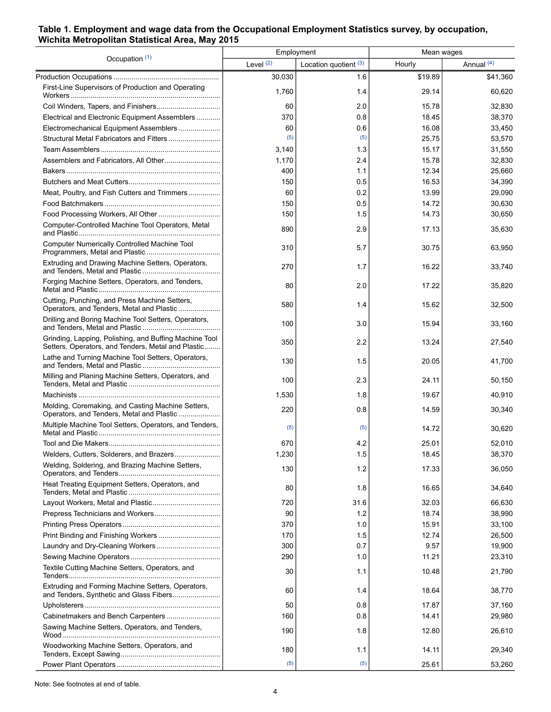## **Table 1. Employment and wage data from the Occupational Employment Statistics survey, by occupation, Wichita Metropolitan Statistical Area, May 2015**

| Occupation (1)                                                                                               | Employment |                       | Mean wages |              |
|--------------------------------------------------------------------------------------------------------------|------------|-----------------------|------------|--------------|
|                                                                                                              | Level (2)  | Location quotient (3) | Hourly     | Annual $(4)$ |
|                                                                                                              | 30,030     | 1.6                   | \$19.89    | \$41,360     |
| First-Line Supervisors of Production and Operating                                                           | 1,760      | 1.4                   | 29.14      | 60,620       |
|                                                                                                              | 60         | 2.0                   | 15.78      | 32,830       |
| Electrical and Electronic Equipment Assemblers                                                               | 370        | 0.8                   | 18.45      | 38,370       |
| Electromechanical Equipment Assemblers                                                                       | 60         | 0.6                   | 16.08      | 33,450       |
|                                                                                                              | (5)        | (5)                   | 25.75      | 53,570       |
|                                                                                                              | 3,140      | 1.3                   | 15.17      | 31,550       |
|                                                                                                              | 1,170      | 2.4                   | 15.78      | 32,830       |
|                                                                                                              | 400        | 1.1                   | 12.34      | 25,660       |
|                                                                                                              | 150        | 0.5                   | 16.53      | 34,390       |
| Meat, Poultry, and Fish Cutters and Trimmers                                                                 | 60         | 0.2                   | 13.99      | 29,090       |
|                                                                                                              | 150        | 0.5                   | 14.72      | 30,630       |
|                                                                                                              | 150        | 1.5                   | 14.73      | 30,650       |
| Computer-Controlled Machine Tool Operators, Metal                                                            | 890        | 2.9                   | 17.13      | 35,630       |
| Computer Numerically Controlled Machine Tool                                                                 | 310        | 5.7                   | 30.75      | 63,950       |
| Extruding and Drawing Machine Setters, Operators,                                                            | 270        | 1.7                   | 16.22      | 33.740       |
| Forging Machine Setters, Operators, and Tenders,                                                             | 80         | 2.0                   | 17.22      | 35,820       |
| Cutting, Punching, and Press Machine Setters,<br>Operators, and Tenders, Metal and Plastic                   | 580        | 1.4                   | 15.62      | 32,500       |
| Drilling and Boring Machine Tool Setters, Operators,                                                         | 100        | 3.0                   | 15.94      | 33,160       |
| Grinding, Lapping, Polishing, and Buffing Machine Tool<br>Setters, Operators, and Tenders, Metal and Plastic | 350        | 2.2                   | 13.24      | 27,540       |
| Lathe and Turning Machine Tool Setters, Operators,                                                           | 130        | 1.5                   | 20.05      | 41,700       |
| Milling and Planing Machine Setters, Operators, and                                                          | 100        | 2.3                   | 24.11      | 50,150       |
|                                                                                                              | 1,530      | 1.8                   | 19.67      | 40,910       |
| Molding, Coremaking, and Casting Machine Setters,<br>Operators, and Tenders, Metal and Plastic               | 220        | 0.8                   | 14.59      | 30,340       |
| Multiple Machine Tool Setters, Operators, and Tenders,                                                       | (5)        | (5)                   | 14.72      | 30,620       |
|                                                                                                              | 670        | 4.2                   | 25.01      | 52,010       |
| Welders, Cutters, Solderers, and Brazers                                                                     | 1,230      | 1.5                   | 18.45      | 38,370       |
| Welding, Soldering, and Brazing Machine Setters,                                                             | 130        | 1.2                   | 17.33      | 36,050       |
| Heat Treating Equipment Setters, Operators, and                                                              | 80         | 1.8                   | 16.65      | 34,640       |
| Layout Workers, Metal and Plastic                                                                            | 720        | 31.6                  | 32.03      | 66,630       |
|                                                                                                              | 90         | 1.2                   | 18.74      | 38,990       |
|                                                                                                              | 370        | 1.0                   | 15.91      | 33,100       |
|                                                                                                              | 170        | 1.5                   | 12.74      | 26,500       |
|                                                                                                              | 300        | 0.7                   | 9.57       | 19,900       |
|                                                                                                              | 290        | 1.0                   | 11.21      | 23,310       |
| Textile Cutting Machine Setters, Operators, and                                                              | 30         | 1.1                   | 10.48      | 21,790       |
| Extruding and Forming Machine Setters, Operators,<br>and Tenders, Synthetic and Glass Fibers                 | 60         | 1.4                   | 18.64      | 38,770       |
|                                                                                                              | 50         | 0.8                   | 17.87      | 37,160       |
| Cabinetmakers and Bench Carpenters                                                                           | 160        | 0.8                   | 14.41      | 29,980       |
| Sawing Machine Setters, Operators, and Tenders,                                                              | 190        | 1.8                   | 12.80      | 26,610       |
| Woodworking Machine Setters, Operators, and                                                                  | 180        | 1.1                   | 14.11      | 29,340       |
|                                                                                                              | (5)        | (5)                   | 25.61      | 53,260       |

Note: See footnotes at end of table.